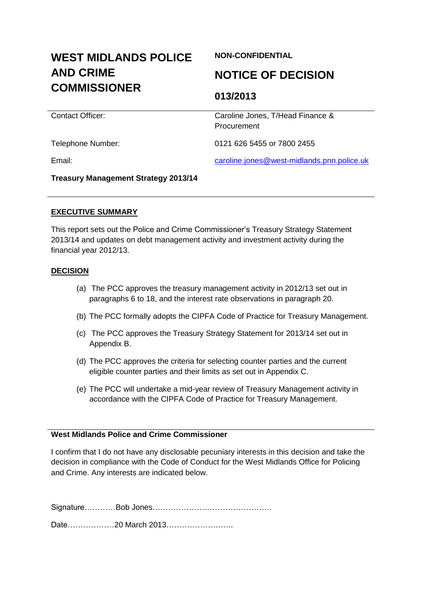# **WEST MIDLANDS POLICE AND CRIME COMMISSIONER**

# **NON-CONFIDENTIAL**

# **NOTICE OF DECISION**

# **013/2013**

**Procurement** 

Contact Officer: Caroline Jones, T/Head Finance &

Telephone Number: 0121 626 5455 or 7800 2455

Email: [caroline.jones@west-midlands.pnn.police.uk](mailto:caroline.jones@west-midlands.pnn.police.uk)

**Treasury Management Strategy 2013/14**

### **EXECUTIVE SUMMARY**

This report sets out the Police and Crime Commissioner's Treasury Strategy Statement 2013/14 and updates on debt management activity and investment activity during the financial year 2012/13.

### **DECISION**

- (a) The PCC approves the treasury management activity in 2012/13 set out in paragraphs 6 to 18, and the interest rate observations in paragraph 20.
- (b) The PCC formally adopts the CIPFA Code of Practice for Treasury Management.
- (c) The PCC approves the Treasury Strategy Statement for 2013/14 set out in Appendix B.
- (d) The PCC approves the criteria for selecting counter parties and the current eligible counter parties and their limits as set out in Appendix C.
- (e) The PCC will undertake a mid-year review of Treasury Management activity in accordance with the CIPFA Code of Practice for Treasury Management.

## **West Midlands Police and Crime Commissioner**

I confirm that I do not have any disclosable pecuniary interests in this decision and take the decision in compliance with the Code of Conduct for the West Midlands Office for Policing and Crime. Any interests are indicated below.

Signature…………Bob Jones……………………………………….

Date………………20 March 2013……………………..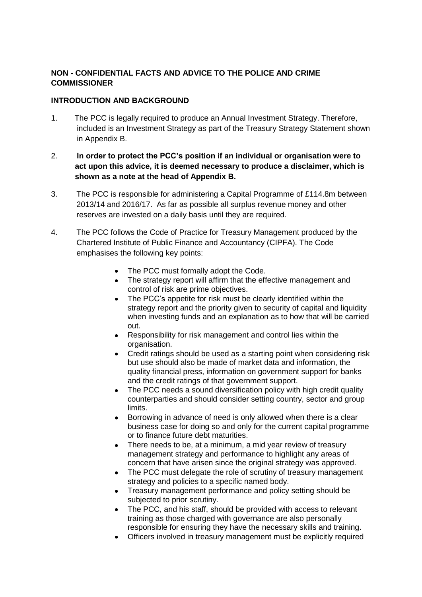# **NON - CONFIDENTIAL FACTS AND ADVICE TO THE POLICE AND CRIME COMMISSIONER**

# **INTRODUCTION AND BACKGROUND**

- 1. The PCC is legally required to produce an Annual Investment Strategy. Therefore, included is an Investment Strategy as part of the Treasury Strategy Statement shown in Appendix B.
- 2. **In order to protect the PCC's position if an individual or organisation were to act upon this advice, it is deemed necessary to produce a disclaimer, which is shown as a note at the head of Appendix B.**
- 3. The PCC is responsible for administering a Capital Programme of £114.8m between 2013/14 and 2016/17. As far as possible all surplus revenue money and other reserves are invested on a daily basis until they are required.
- 4. The PCC follows the Code of Practice for Treasury Management produced by the Chartered Institute of Public Finance and Accountancy (CIPFA). The Code emphasises the following key points:
	- The PCC must formally adopt the Code.  $\bullet$
	- The strategy report will affirm that the effective management and control of risk are prime objectives.
	- $\bullet$ The PCC's appetite for risk must be clearly identified within the strategy report and the priority given to security of capital and liquidity when investing funds and an explanation as to how that will be carried out.
	- $\bullet$ Responsibility for risk management and control lies within the organisation.
	- Credit ratings should be used as a starting point when considering risk but use should also be made of market data and information, the quality financial press, information on government support for banks and the credit ratings of that government support.
	- The PCC needs a sound diversification policy with high credit quality  $\bullet$ counterparties and should consider setting country, sector and group limits.
	- Borrowing in advance of need is only allowed when there is a clear  $\bullet$ business case for doing so and only for the current capital programme or to finance future debt maturities.
	- There needs to be, at a minimum, a mid year review of treasury management strategy and performance to highlight any areas of concern that have arisen since the original strategy was approved.
	- The PCC must delegate the role of scrutiny of treasury management strategy and policies to a specific named body.
	- Treasury management performance and policy setting should be subjected to prior scrutiny.
	- The PCC, and his staff, should be provided with access to relevant  $\bullet$ training as those charged with governance are also personally responsible for ensuring they have the necessary skills and training.
	- Officers involved in treasury management must be explicitly required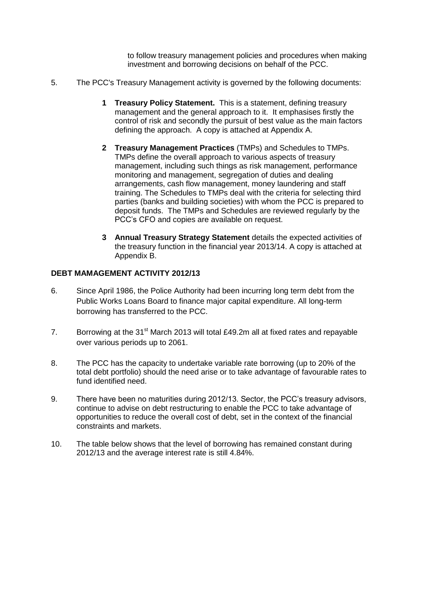to follow treasury management policies and procedures when making investment and borrowing decisions on behalf of the PCC.

- 5. The PCC's Treasury Management activity is governed by the following documents:
	- **1 Treasury Policy Statement.** This is a statement, defining treasury management and the general approach to it. It emphasises firstly the control of risk and secondly the pursuit of best value as the main factors defining the approach. A copy is attached at Appendix A.
	- **2 Treasury Management Practices** (TMPs) and Schedules to TMPs. TMPs define the overall approach to various aspects of treasury management, including such things as risk management, performance monitoring and management, segregation of duties and dealing arrangements, cash flow management, money laundering and staff training. The Schedules to TMPs deal with the criteria for selecting third parties (banks and building societies) with whom the PCC is prepared to deposit funds. The TMPs and Schedules are reviewed regularly by the PCC's CFO and copies are available on request.
	- **3 Annual Treasury Strategy Statement** details the expected activities of the treasury function in the financial year 2013/14. A copy is attached at Appendix B.

### **DEBT MAMAGEMENT ACTIVITY 2012/13**

- 6. Since April 1986, the Police Authority had been incurring long term debt from the Public Works Loans Board to finance major capital expenditure. All long-term borrowing has transferred to the PCC.
- 7. Borrowing at the  $31^{st}$  March 2013 will total £49.2m all at fixed rates and repayable over various periods up to 2061.
- 8. The PCC has the capacity to undertake variable rate borrowing (up to 20% of the total debt portfolio) should the need arise or to take advantage of favourable rates to fund identified need.
- 9. There have been no maturities during 2012/13. Sector, the PCC's treasury advisors, continue to advise on debt restructuring to enable the PCC to take advantage of opportunities to reduce the overall cost of debt, set in the context of the financial constraints and markets.
- 10. The table below shows that the level of borrowing has remained constant during 2012/13 and the average interest rate is still 4.84%.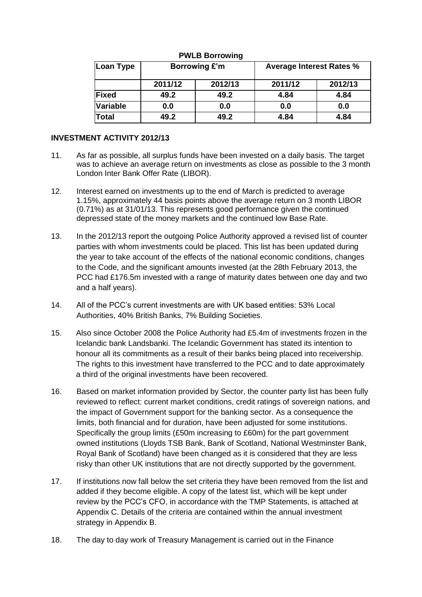| Loan Type    | Borrowing £'m |         | <b>Average Interest Rates %</b> |         |  |  |
|--------------|---------------|---------|---------------------------------|---------|--|--|
|              | 2011/12       | 2012/13 | 2011/12                         | 2012/13 |  |  |
| <b>Fixed</b> | 49.2          | 49.2    | 4.84                            | 4.84    |  |  |
| Variable     | 0.0           | 0.0     | 0.0                             | 0.0     |  |  |
| <b>Total</b> | 49.2          | 49.2    | 4.84                            | 4.84    |  |  |

#### **PWLB Borrowing**

#### **INVESTMENT ACTIVITY 2012/13**

- 11. As far as possible, all surplus funds have been invested on a daily basis. The target was to achieve an average return on investments as close as possible to the 3 month London Inter Bank Offer Rate (LIBOR).
- 12. Interest earned on investments up to the end of March is predicted to average 1.15%, approximately 44 basis points above the average return on 3 month LIBOR (0.71%) as at 31/01/13. This represents good performance given the continued depressed state of the money markets and the continued low Base Rate.
- 13. In the 2012/13 report the outgoing Police Authority approved a revised list of counter parties with whom investments could be placed. This list has been updated during the year to take account of the effects of the national economic conditions, changes to the Code, and the significant amounts invested (at the 28th February 2013, the PCC had £176.5m invested with a range of maturity dates between one day and two and a half years).
- 14. All of the PCC's current investments are with UK based entities: 53% Local Authorities, 40% British Banks, 7% Building Societies.
- 15. Also since October 2008 the Police Authority had £5.4m of investments frozen in the Icelandic bank Landsbanki. The Icelandic Government has stated its intention to honour all its commitments as a result of their banks being placed into receivership. The rights to this investment have transferred to the PCC and to date approximately a third of the original investments have been recovered.
- 16. Based on market information provided by Sector, the counter party list has been fully reviewed to reflect: current market conditions, credit ratings of sovereign nations, and the impact of Government support for the banking sector. As a consequence the limits, both financial and for duration, have been adjusted for some institutions. Specifically the group limits (£50m increasing to £60m) for the part government owned institutions (Lloyds TSB Bank, Bank of Scotland, National Westminster Bank, Royal Bank of Scotland) have been changed as it is considered that they are less risky than other UK institutions that are not directly supported by the government.
- 17. If institutions now fall below the set criteria they have been removed from the list and added if they become eligible. A copy of the latest list, which will be kept under review by the PCC's CFO, in accordance with the TMP Statements, is attached at Appendix C. Details of the criteria are contained within the annual investment strategy in Appendix B.
- 18. The day to day work of Treasury Management is carried out in the Finance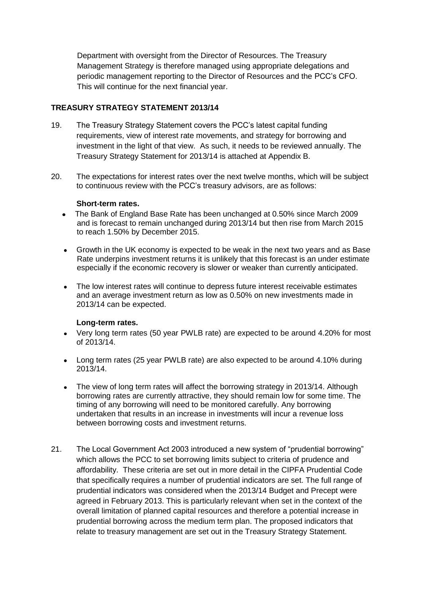Department with oversight from the Director of Resources. The Treasury Management Strategy is therefore managed using appropriate delegations and periodic management reporting to the Director of Resources and the PCC's CFO. This will continue for the next financial year.

#### **TREASURY STRATEGY STATEMENT 2013/14**

- 19. The Treasury Strategy Statement covers the PCC's latest capital funding requirements, view of interest rate movements, and strategy for borrowing and investment in the light of that view. As such, it needs to be reviewed annually. The Treasury Strategy Statement for 2013/14 is attached at Appendix B.
- 20. The expectations for interest rates over the next twelve months, which will be subject to continuous review with the PCC's treasury advisors, are as follows:

#### **Short-term rates.**

- The Bank of England Base Rate has been unchanged at 0.50% since March 2009 and is forecast to remain unchanged during 2013/14 but then rise from March 2015 to reach 1.50% by December 2015.
- Growth in the UK economy is expected to be weak in the next two years and as Base  $\bullet$  Rate underpins investment returns it is unlikely that this forecast is an under estimate especially if the economic recovery is slower or weaker than currently anticipated.
- The low interest rates will continue to depress future interest receivable estimates and an average investment return as low as 0.50% on new investments made in 2013/14 can be expected.

#### **Long-term rates.**

- Very long term rates (50 year PWLB rate) are expected to be around 4.20% for most of 2013/14.
- Long term rates (25 year PWLB rate) are also expected to be around 4.10% during 2013/14.
- The view of long term rates will affect the borrowing strategy in 2013/14. Although borrowing rates are currently attractive, they should remain low for some time. The timing of any borrowing will need to be monitored carefully. Any borrowing undertaken that results in an increase in investments will incur a revenue loss between borrowing costs and investment returns.
- 21. The Local Government Act 2003 introduced a new system of "prudential borrowing" which allows the PCC to set borrowing limits subject to criteria of prudence and affordability. These criteria are set out in more detail in the CIPFA Prudential Code that specifically requires a number of prudential indicators are set. The full range of prudential indicators was considered when the 2013/14 Budget and Precept were agreed in February 2013. This is particularly relevant when set in the context of the overall limitation of planned capital resources and therefore a potential increase in prudential borrowing across the medium term plan. The proposed indicators that relate to treasury management are set out in the Treasury Strategy Statement.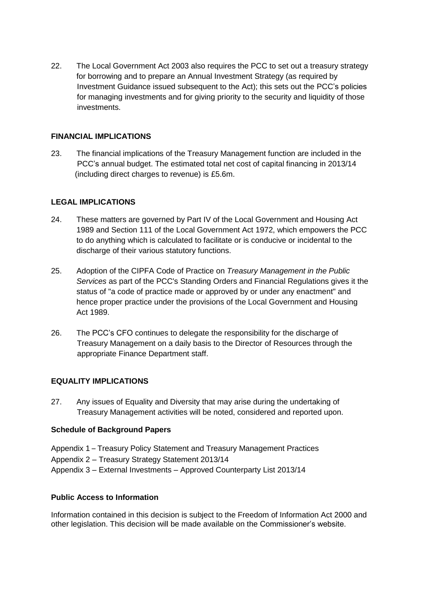22. The Local Government Act 2003 also requires the PCC to set out a treasury strategy for borrowing and to prepare an Annual Investment Strategy (as required by Investment Guidance issued subsequent to the Act); this sets out the PCC's policies for managing investments and for giving priority to the security and liquidity of those investments.

### **FINANCIAL IMPLICATIONS**

23. The financial implications of the Treasury Management function are included in the PCC's annual budget. The estimated total net cost of capital financing in 2013/14 (including direct charges to revenue) is £5.6m.

### **LEGAL IMPLICATIONS**

- 24. These matters are governed by Part IV of the Local Government and Housing Act 1989 and Section 111 of the Local Government Act 1972, which empowers the PCC to do anything which is calculated to facilitate or is conducive or incidental to the discharge of their various statutory functions.
- 25. Adoption of the CIPFA Code of Practice on *Treasury Management in the Public Services* as part of the PCC's Standing Orders and Financial Regulations gives it the status of "a code of practice made or approved by or under any enactment" and hence proper practice under the provisions of the Local Government and Housing Act 1989.
- 26. The PCC's CFO continues to delegate the responsibility for the discharge of Treasury Management on a daily basis to the Director of Resources through the appropriate Finance Department staff.

# **EQUALITY IMPLICATIONS**

27. Any issues of Equality and Diversity that may arise during the undertaking of Treasury Management activities will be noted, considered and reported upon.

#### **Schedule of Background Papers**

- Appendix 1 Treasury Policy Statement and Treasury Management Practices
- Appendix 2 Treasury Strategy Statement 2013/14
- Appendix 3 External Investments Approved Counterparty List 2013/14

#### **Public Access to Information**

Information contained in this decision is subject to the Freedom of Information Act 2000 and other legislation. This decision will be made available on the Commissioner's website.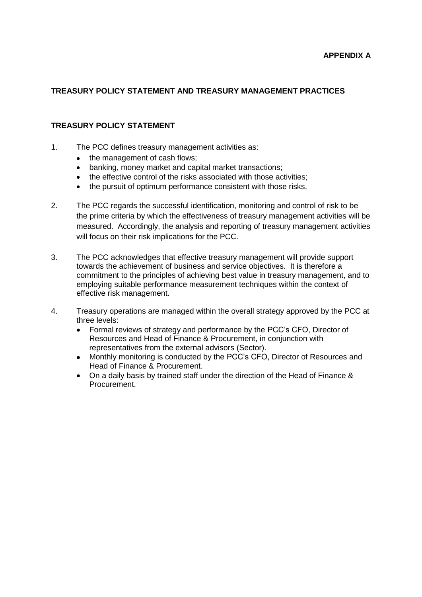# **TREASURY POLICY STATEMENT AND TREASURY MANAGEMENT PRACTICES**

#### **TREASURY POLICY STATEMENT**

- 1. The PCC defines treasury management activities as:
	- the management of cash flows;  $\bullet$
	- banking, money market and capital market transactions;  $\bullet$
	- the effective control of the risks associated with those activities;
	- the pursuit of optimum performance consistent with those risks.  $\bullet$
- 2. The PCC regards the successful identification, monitoring and control of risk to be the prime criteria by which the effectiveness of treasury management activities will be measured. Accordingly, the analysis and reporting of treasury management activities will focus on their risk implications for the PCC.
- 3. The PCC acknowledges that effective treasury management will provide support towards the achievement of business and service objectives. It is therefore a commitment to the principles of achieving best value in treasury management, and to employing suitable performance measurement techniques within the context of effective risk management.
- 4. Treasury operations are managed within the overall strategy approved by the PCC at three levels:
	- Formal reviews of strategy and performance by the PCC's CFO, Director of  $\bullet$ Resources and Head of Finance & Procurement, in conjunction with representatives from the external advisors (Sector).
	- $\bullet$ Monthly monitoring is conducted by the PCC's CFO, Director of Resources and Head of Finance & Procurement.
	- On a daily basis by trained staff under the direction of the Head of Finance & Procurement.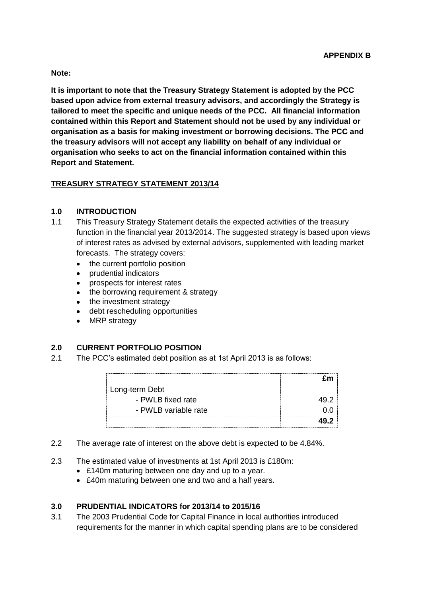**Note:**

**It is important to note that the Treasury Strategy Statement is adopted by the PCC based upon advice from external treasury advisors, and accordingly the Strategy is tailored to meet the specific and unique needs of the PCC. All financial information contained within this Report and Statement should not be used by any individual or organisation as a basis for making investment or borrowing decisions. The PCC and the treasury advisors will not accept any liability on behalf of any individual or organisation who seeks to act on the financial information contained within this Report and Statement.**

# **TREASURY STRATEGY STATEMENT 2013/14**

# **1.0 INTRODUCTION**

- 1.1 This Treasury Strategy Statement details the expected activities of the treasury function in the financial year 2013/2014. The suggested strategy is based upon views of interest rates as advised by external advisors, supplemented with leading market forecasts. The strategy covers:
	- the current portfolio position  $\bullet$
	- prudential indicators
	- prospects for interest rates  $\bullet$
	- the borrowing requirement & strategy
	- the investment strategy
	- debt rescheduling opportunities
	- $\bullet$ MRP strategy

# **2.0 CURRENT PORTFOLIO POSITION**

2.1 The PCC's estimated debt position as at 1st April 2013 is as follows:

| Long-term Debt       |  |
|----------------------|--|
| - PWLB fixed rate    |  |
| - PWLB variable rate |  |
|                      |  |

- 2.2 The average rate of interest on the above debt is expected to be 4.84%.
- 2.3 The estimated value of investments at 1st April 2013 is £180m:
	- £140m maturing between one day and up to a year.
	- £40m maturing between one and two and a half years.

# **3.0 PRUDENTIAL INDICATORS for 2013/14 to 2015/16**

3.1 The 2003 Prudential Code for Capital Finance in local authorities introduced requirements for the manner in which capital spending plans are to be considered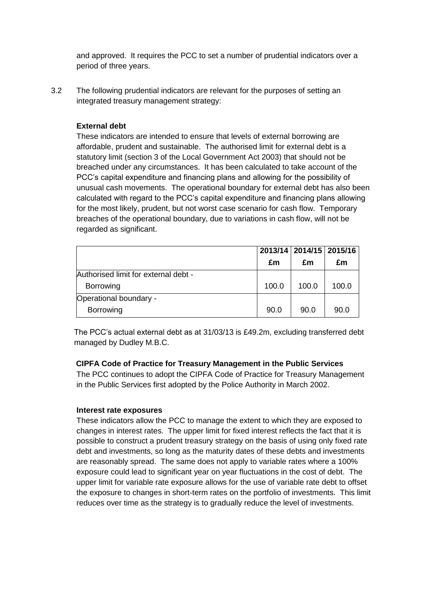and approved. It requires the PCC to set a number of prudential indicators over a period of three years.

3.2 The following prudential indicators are relevant for the purposes of setting an integrated treasury management strategy:

#### **External debt**

These indicators are intended to ensure that levels of external borrowing are affordable, prudent and sustainable. The authorised limit for external debt is a statutory limit (section 3 of the Local Government Act 2003) that should not be breached under any circumstances. It has been calculated to take account of the PCC's capital expenditure and financing plans and allowing for the possibility of unusual cash movements. The operational boundary for external debt has also been calculated with regard to the PCC's capital expenditure and financing plans allowing for the most likely, prudent, but not worst case scenario for cash flow. Temporary breaches of the operational boundary, due to variations in cash flow, will not be regarded as significant.

|                                      |       | 2013/14   2014/15   2015/16 |       |
|--------------------------------------|-------|-----------------------------|-------|
|                                      | £m    | £m                          | £m    |
| Authorised limit for external debt - |       |                             |       |
| Borrowing                            | 100.0 | 100.0                       | 100.0 |
| Operational boundary -               |       |                             |       |
| Borrowing                            | 90.0  | 90.0                        | 90.0  |

 The PCC's actual external debt as at 31/03/13 is £49.2m, excluding transferred debt managed by Dudley M.B.C.

#### **CIPFA Code of Practice for Treasury Management in the Public Services**

The PCC continues to adopt the CIPFA Code of Practice for Treasury Management in the Public Services first adopted by the Police Authority in March 2002.

#### **Interest rate exposures**

These indicators allow the PCC to manage the extent to which they are exposed to changes in interest rates. The upper limit for fixed interest reflects the fact that it is possible to construct a prudent treasury strategy on the basis of using only fixed rate debt and investments, so long as the maturity dates of these debts and investments are reasonably spread. The same does not apply to variable rates where a 100% exposure could lead to significant year on year fluctuations in the cost of debt. The upper limit for variable rate exposure allows for the use of variable rate debt to offset the exposure to changes in short-term rates on the portfolio of investments. This limit reduces over time as the strategy is to gradually reduce the level of investments.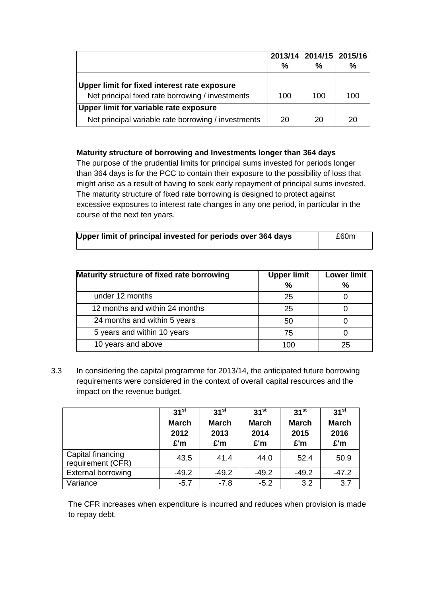|                                                                                                  |               | 2013/14   2014/15   2015/16 |     |
|--------------------------------------------------------------------------------------------------|---------------|-----------------------------|-----|
|                                                                                                  | $\frac{0}{0}$ | ℅                           | %   |
| Upper limit for fixed interest rate exposure<br>Net principal fixed rate borrowing / investments | 100           | 100                         | 100 |
| Upper limit for variable rate exposure                                                           |               |                             |     |
| Net principal variable rate borrowing / investments                                              | 20            | 20                          | 20  |

#### **Maturity structure of borrowing and Investments longer than 364 days**

The purpose of the prudential limits for principal sums invested for periods longer than 364 days is for the PCC to contain their exposure to the possibility of loss that might arise as a result of having to seek early repayment of principal sums invested. The maturity structure of fixed rate borrowing is designed to protect against excessive exposures to interest rate changes in any one period, in particular in the course of the next ten years.

| Upper limit of principal invested for periods over 364 days | £60m |
|-------------------------------------------------------------|------|
|                                                             |      |

| Maturity structure of fixed rate borrowing | <b>Upper limit</b> | <b>Lower limit</b> |
|--------------------------------------------|--------------------|--------------------|
|                                            | $\%$               | $\frac{0}{0}$      |
| under 12 months                            | 25                 |                    |
| 12 months and within 24 months             | 25                 |                    |
| 24 months and within 5 years               | 50                 |                    |
| 5 years and within 10 years                | 75                 |                    |
| 10 years and above                         | 100                | 25                 |

3.3 In considering the capital programme for 2013/14, the anticipated future borrowing requirements were considered in the context of overall capital resources and the impact on the revenue budget.

|                                        | $31^{st}$<br><b>March</b><br>2012<br>£'m | $31^{st}$<br><b>March</b><br>2013<br>£'m | 31 <sup>st</sup><br><b>March</b><br>2014<br>£'m | $31^{st}$<br><b>March</b><br>2015<br>£'m | 31 <sup>st</sup><br><b>March</b><br>2016<br>£'m |
|----------------------------------------|------------------------------------------|------------------------------------------|-------------------------------------------------|------------------------------------------|-------------------------------------------------|
| Capital financing<br>requirement (CFR) | 43.5                                     | 41.4                                     | 44.0                                            | 52.4                                     | 50.9                                            |
| <b>External borrowing</b>              | $-49.2$                                  | $-49.2$                                  | $-49.2$                                         | $-49.2$                                  | $-47.2$                                         |
| Variance                               | $-5.7$                                   | $-7.8$                                   | $-5.2$                                          | 3.2                                      | 3.7                                             |

 The CFR increases when expenditure is incurred and reduces when provision is made to repay debt.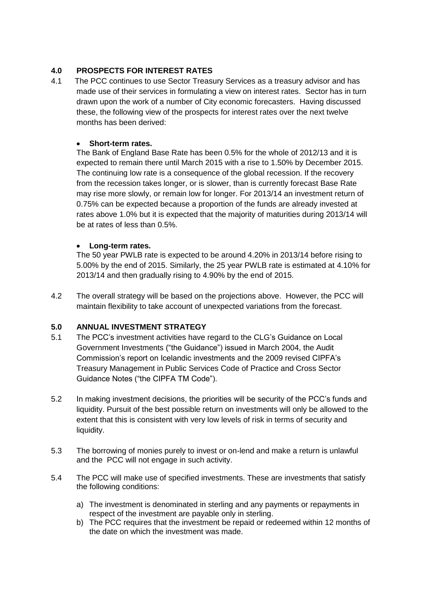# **4.0 PROSPECTS FOR INTEREST RATES**

4.1The PCC continues to use Sector Treasury Services as a treasury advisor and has made use of their services in formulating a view on interest rates. Sector has in turn drawn upon the work of a number of City economic forecasters. Having discussed these, the following view of the prospects for interest rates over the next twelve months has been derived:

## **Short-term rates.**

The Bank of England Base Rate has been 0.5% for the whole of 2012/13 and it is expected to remain there until March 2015 with a rise to 1.50% by December 2015. The continuing low rate is a consequence of the global recession. If the recovery from the recession takes longer, or is slower, than is currently forecast Base Rate may rise more slowly, or remain low for longer. For 2013/14 an investment return of 0.75% can be expected because a proportion of the funds are already invested at rates above 1.0% but it is expected that the majority of maturities during 2013/14 will be at rates of less than 0.5%.

### **Long-term rates.**

The 50 year PWLB rate is expected to be around 4.20% in 2013/14 before rising to 5.00% by the end of 2015. Similarly, the 25 year PWLB rate is estimated at 4.10% for 2013/14 and then gradually rising to 4.90% by the end of 2015.

4.2 The overall strategy will be based on the projections above. However, the PCC will maintain flexibility to take account of unexpected variations from the forecast.

# **5.0 ANNUAL INVESTMENT STRATEGY**

- 5.1 The PCC's investment activities have regard to the CLG's Guidance on Local Government Investments ("the Guidance") issued in March 2004, the Audit Commission's report on Icelandic investments and the 2009 revised CIPFA's Treasury Management in Public Services Code of Practice and Cross Sector Guidance Notes ("the CIPFA TM Code").
- 5.2 In making investment decisions, the priorities will be security of the PCC's funds and liquidity. Pursuit of the best possible return on investments will only be allowed to the extent that this is consistent with very low levels of risk in terms of security and liquidity.
- 5.3 The borrowing of monies purely to invest or on-lend and make a return is unlawful and the PCC will not engage in such activity.
- 5.4 The PCC will make use of specified investments. These are investments that satisfy the following conditions:
	- a) The investment is denominated in sterling and any payments or repayments in respect of the investment are payable only in sterling.
	- b) The PCC requires that the investment be repaid or redeemed within 12 months of the date on which the investment was made.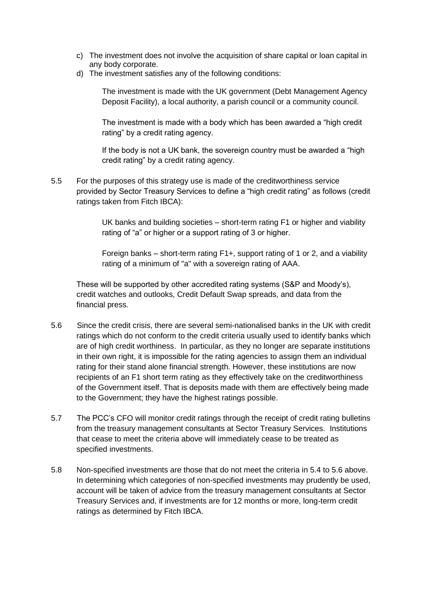- c) The investment does not involve the acquisition of share capital or loan capital in any body corporate.
- d) The investment satisfies any of the following conditions:

The investment is made with the UK government (Debt Management Agency Deposit Facility), a local authority, a parish council or a community council.

The investment is made with a body which has been awarded a "high credit rating" by a credit rating agency.

If the body is not a UK bank, the sovereign country must be awarded a "high credit rating" by a credit rating agency.

5.5 For the purposes of this strategy use is made of the creditworthiness service provided by Sector Treasury Services to define a "high credit rating" as follows (credit ratings taken from Fitch IBCA):

> UK banks and building societies – short-term rating F1 or higher and viability rating of "a" or higher or a support rating of 3 or higher.

> Foreign banks – short-term rating F1+, support rating of 1 or 2, and a viability rating of a minimum of "a" with a sovereign rating of AAA.

These will be supported by other accredited rating systems (S&P and Moody's), credit watches and outlooks, Credit Default Swap spreads, and data from the financial press.

- 5.6 Since the credit crisis, there are several semi-nationalised banks in the UK with credit ratings which do not conform to the credit criteria usually used to identify banks which are of high credit worthiness. In particular, as they no longer are separate institutions in their own right, it is impossible for the rating agencies to assign them an individual rating for their stand alone financial strength. However, these institutions are now recipients of an F1 short term rating as they effectively take on the creditworthiness of the Government itself. That is deposits made with them are effectively being made to the Government; they have the highest ratings possible.
- 5.7 The PCC's CFO will monitor credit ratings through the receipt of credit rating bulletins from the treasury management consultants at Sector Treasury Services. Institutions that cease to meet the criteria above will immediately cease to be treated as specified investments.
- 5.8 Non-specified investments are those that do not meet the criteria in 5.4 to 5.6 above. In determining which categories of non-specified investments may prudently be used, account will be taken of advice from the treasury management consultants at Sector Treasury Services and, if investments are for 12 months or more, long-term credit ratings as determined by Fitch IBCA.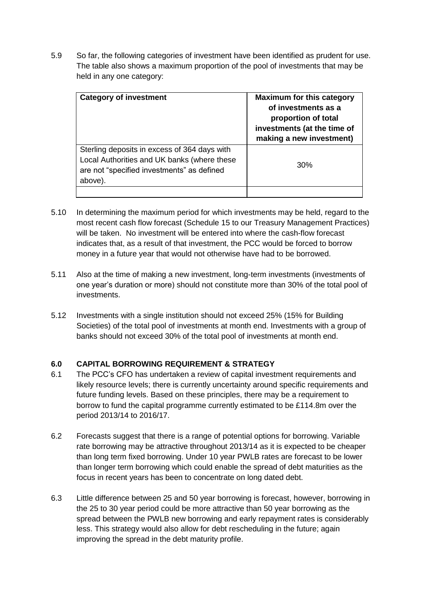5.9 So far, the following categories of investment have been identified as prudent for use. The table also shows a maximum proportion of the pool of investments that may be held in any one category:

| <b>Category of investment</b>                                                                                                                        | <b>Maximum for this category</b><br>of investments as a<br>proportion of total<br>investments (at the time of<br>making a new investment) |  |  |
|------------------------------------------------------------------------------------------------------------------------------------------------------|-------------------------------------------------------------------------------------------------------------------------------------------|--|--|
| Sterling deposits in excess of 364 days with<br>Local Authorities and UK banks (where these<br>are not "specified investments" as defined<br>above). | 30%                                                                                                                                       |  |  |
|                                                                                                                                                      |                                                                                                                                           |  |  |

- 5.10 In determining the maximum period for which investments may be held, regard to the most recent cash flow forecast (Schedule 15 to our Treasury Management Practices) will be taken. No investment will be entered into where the cash-flow forecast indicates that, as a result of that investment, the PCC would be forced to borrow money in a future year that would not otherwise have had to be borrowed.
- 5.11 Also at the time of making a new investment, long-term investments (investments of one year's duration or more) should not constitute more than 30% of the total pool of investments.
- 5.12 Investments with a single institution should not exceed 25% (15% for Building Societies) of the total pool of investments at month end. Investments with a group of banks should not exceed 30% of the total pool of investments at month end.

# **6.0 CAPITAL BORROWING REQUIREMENT & STRATEGY**

- 6.1 The PCC's CFO has undertaken a review of capital investment requirements and likely resource levels; there is currently uncertainty around specific requirements and future funding levels. Based on these principles, there may be a requirement to borrow to fund the capital programme currently estimated to be £114.8m over the period 2013/14 to 2016/17.
- 6.2 Forecasts suggest that there is a range of potential options for borrowing. Variable rate borrowing may be attractive throughout 2013/14 as it is expected to be cheaper than long term fixed borrowing. Under 10 year PWLB rates are forecast to be lower than longer term borrowing which could enable the spread of debt maturities as the focus in recent years has been to concentrate on long dated debt.
- 6.3 Little difference between 25 and 50 year borrowing is forecast, however, borrowing in the 25 to 30 year period could be more attractive than 50 year borrowing as the spread between the PWLB new borrowing and early repayment rates is considerably less. This strategy would also allow for debt rescheduling in the future; again improving the spread in the debt maturity profile.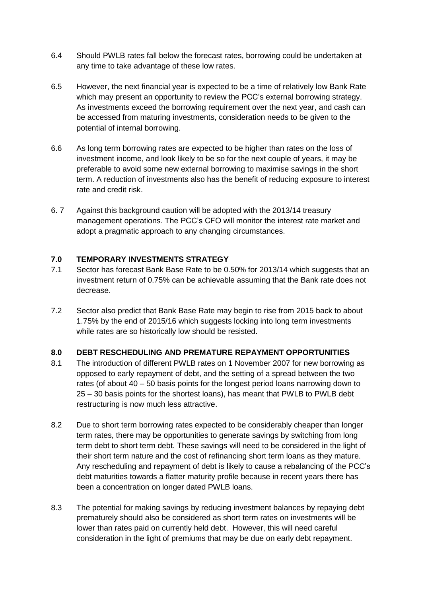- 6.4 Should PWLB rates fall below the forecast rates, borrowing could be undertaken at any time to take advantage of these low rates.
- 6.5 However, the next financial year is expected to be a time of relatively low Bank Rate which may present an opportunity to review the PCC's external borrowing strategy. As investments exceed the borrowing requirement over the next year, and cash can be accessed from maturing investments, consideration needs to be given to the potential of internal borrowing.
- 6.6 As long term borrowing rates are expected to be higher than rates on the loss of investment income, and look likely to be so for the next couple of years, it may be preferable to avoid some new external borrowing to maximise savings in the short term. A reduction of investments also has the benefit of reducing exposure to interest rate and credit risk.
- 6. 7 Against this background caution will be adopted with the 2013/14 treasury management operations. The PCC's CFO will monitor the interest rate market and adopt a pragmatic approach to any changing circumstances.

# **7.0 TEMPORARY INVESTMENTS STRATEGY**

- 7.1 Sector has forecast Bank Base Rate to be 0.50% for 2013/14 which suggests that an investment return of 0.75% can be achievable assuming that the Bank rate does not decrease.
- 7.2 Sector also predict that Bank Base Rate may begin to rise from 2015 back to about 1.75% by the end of 2015/16 which suggests locking into long term investments while rates are so historically low should be resisted.

#### **8.0 DEBT RESCHEDULING AND PREMATURE REPAYMENT OPPORTUNITIES**

- 8.1 The introduction of different PWLB rates on 1 November 2007 for new borrowing as opposed to early repayment of debt, and the setting of a spread between the two rates (of about 40 – 50 basis points for the longest period loans narrowing down to 25 – 30 basis points for the shortest loans), has meant that PWLB to PWLB debt restructuring is now much less attractive.
- 8.2 Due to short term borrowing rates expected to be considerably cheaper than longer term rates, there may be opportunities to generate savings by switching from long term debt to short term debt. These savings will need to be considered in the light of their short term nature and the cost of refinancing short term loans as they mature. Any rescheduling and repayment of debt is likely to cause a rebalancing of the PCC's debt maturities towards a flatter maturity profile because in recent years there has been a concentration on longer dated PWLB loans.
- 8.3 The potential for making savings by reducing investment balances by repaying debt prematurely should also be considered as short term rates on investments will be lower than rates paid on currently held debt. However, this will need careful consideration in the light of premiums that may be due on early debt repayment.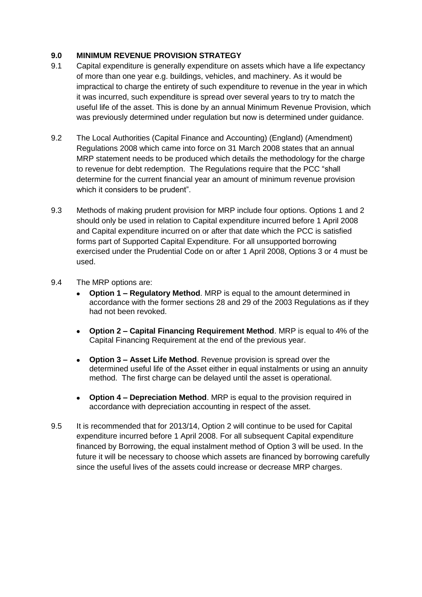## **9.0 MINIMUM REVENUE PROVISION STRATEGY**

- 9.1 Capital expenditure is generally expenditure on assets which have a life expectancy of more than one year e.g. buildings, vehicles, and machinery. As it would be impractical to charge the entirety of such expenditure to revenue in the year in which it was incurred, such expenditure is spread over several years to try to match the useful life of the asset. This is done by an annual Minimum Revenue Provision, which was previously determined under regulation but now is determined under guidance.
- 9.2 The Local Authorities (Capital Finance and Accounting) (England) (Amendment) Regulations 2008 which came into force on 31 March 2008 states that an annual MRP statement needs to be produced which details the methodology for the charge to revenue for debt redemption. The Regulations require that the PCC "shall determine for the current financial year an amount of minimum revenue provision which it considers to be prudent".
- 9.3 Methods of making prudent provision for MRP include four options. Options 1 and 2 should only be used in relation to Capital expenditure incurred before 1 April 2008 and Capital expenditure incurred on or after that date which the PCC is satisfied forms part of Supported Capital Expenditure. For all unsupported borrowing exercised under the Prudential Code on or after 1 April 2008, Options 3 or 4 must be used.
- 9.4 The MRP options are:
	- **Option 1 – Regulatory Method**. MRP is equal to the amount determined in accordance with the former sections 28 and 29 of the 2003 Regulations as if they had not been revoked.
	- **Option 2 – Capital Financing Requirement Method**. MRP is equal to 4% of the  $\bullet$ Capital Financing Requirement at the end of the previous year.
	- **Option 3 – Asset Life Method**. Revenue provision is spread over the  $\bullet$ determined useful life of the Asset either in equal instalments or using an annuity method. The first charge can be delayed until the asset is operational.
	- **Option 4 – Depreciation Method**. MRP is equal to the provision required in accordance with depreciation accounting in respect of the asset.
- 9.5 It is recommended that for 2013/14, Option 2 will continue to be used for Capital expenditure incurred before 1 April 2008. For all subsequent Capital expenditure financed by Borrowing, the equal instalment method of Option 3 will be used. In the future it will be necessary to choose which assets are financed by borrowing carefully since the useful lives of the assets could increase or decrease MRP charges.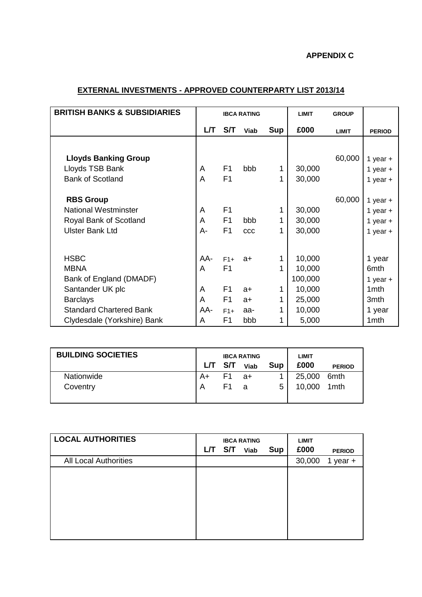# **APPENDIX C**

# **EXTERNAL INVESTMENTS - APPROVED COUNTERPARTY LIST 2013/14**

| <b>BRITISH BANKS &amp; SUBSIDIARIES</b> | <b>IBCA RATING</b> |                | <b>LIMIT</b> | <b>GROUP</b> |         |              |                  |
|-----------------------------------------|--------------------|----------------|--------------|--------------|---------|--------------|------------------|
|                                         | LЛ                 | S/T            | Viab         | <b>Sup</b>   | £000    | <b>LIMIT</b> | <b>PERIOD</b>    |
|                                         |                    |                |              |              |         |              |                  |
| <b>Lloyds Banking Group</b>             |                    |                |              |              |         | 60,000       | 1 year $+$       |
| Lloyds TSB Bank                         | A                  | F <sub>1</sub> | bbb          | 1            | 30,000  |              | 1 year $+$       |
| <b>Bank of Scotland</b>                 | A                  | F <sub>1</sub> |              |              | 30,000  |              | 1 year $+$       |
|                                         |                    |                |              |              |         |              |                  |
| <b>RBS Group</b>                        |                    |                |              |              |         | 60,000       | 1 year $+$       |
| <b>National Westminster</b>             | A                  | F <sub>1</sub> |              | 1            | 30,000  |              | 1 year $+$       |
| Royal Bank of Scotland                  | A                  | F <sub>1</sub> | bbb          |              | 30,000  |              | 1 year $+$       |
| <b>Ulster Bank Ltd</b>                  | А-                 | F <sub>1</sub> | CCC          | 1            | 30,000  |              | 1 year $+$       |
|                                         |                    |                |              |              |         |              |                  |
| <b>HSBC</b>                             | AA-                | $F1+$          | $a+$         |              | 10,000  |              | 1 year           |
| <b>MBNA</b>                             | A                  | F <sub>1</sub> |              |              | 10,000  |              | 6mth             |
| Bank of England (DMADF)                 |                    |                |              |              | 100,000 |              | 1 year $+$       |
| Santander UK plc                        | A                  | F <sub>1</sub> | $a+$         | 1            | 10,000  |              | 1 <sub>mth</sub> |
| <b>Barclays</b>                         | A                  | F1             | $a+$         |              | 25,000  |              | 3mth             |
| <b>Standard Chartered Bank</b>          | AA-                | $F1+$          | aa-          | 1            | 10,000  |              | 1 year           |
| Clydesdale (Yorkshire) Bank             | A                  | F <sub>1</sub> | bbb          |              | 5,000   |              | 1 <sub>mth</sub> |

| <b>BUILDING SOCIETIES</b> | <b>IBCA RATING</b> |     |             | <b>LIMIT</b> |        |                  |
|---------------------------|--------------------|-----|-------------|--------------|--------|------------------|
|                           | LЛ                 | S/T | <b>Viab</b> | Sup          | £000   | <b>PERIOD</b>    |
| Nationwide                | A+                 | F1  | a+          |              | 25,000 | 6 <sub>mth</sub> |
| Coventry                  | A                  | F1  | я           | 5            | 10,000 | 1mth             |

| <b>L/T</b> | S/T | Viab | <b>Sup</b>         | <b>LIMIT</b><br>£000 | <b>PERIOD</b> |
|------------|-----|------|--------------------|----------------------|---------------|
|            |     |      |                    | 30,000               | 1<br>year +   |
|            |     |      |                    |                      |               |
|            |     |      |                    |                      |               |
|            |     |      |                    |                      |               |
|            |     |      |                    |                      |               |
|            |     |      |                    |                      |               |
|            |     |      | <b>IBCA RATING</b> |                      |               |